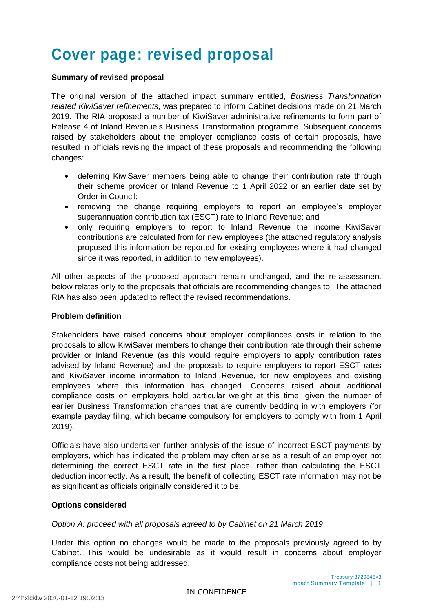# **Cover page: revised proposal**

#### **Summary of revised proposal**

The original version of the attached impact summary entitled, *Business Transformation related KiwiSaver refinements*, was prepared to inform Cabinet decisions made on 21 March 2019. The RIA proposed a number of KiwiSaver administrative refinements to form part of Release 4 of Inland Revenue's Business Transformation programme. Subsequent concerns raised by stakeholders about the employer compliance costs of certain proposals, have resulted in officials revising the impact of these proposals and recommending the following changes:

- deferring KiwiSaver members being able to change their contribution rate through their scheme provider or Inland Revenue to 1 April 2022 or an earlier date set by Order in Council;
- removing the change requiring employers to report an employee's employer superannuation contribution tax (ESCT) rate to Inland Revenue; and
- only requiring employers to report to Inland Revenue the income KiwiSaver contributions are calculated from for new employees (the attached regulatory analysis proposed this information be reported for existing employees where it had changed since it was reported, in addition to new employees).

All other aspects of the proposed approach remain unchanged, and the re-assessment below relates only to the proposals that officials are recommending changes to. The attached RIA has also been updated to reflect the revised recommendations.

#### **Problem definition**

Stakeholders have raised concerns about employer compliances costs in relation to the proposals to allow KiwiSaver members to change their contribution rate through their scheme provider or Inland Revenue (as this would require employers to apply contribution rates advised by Inland Revenue) and the proposals to require employers to report ESCT rates and KiwiSaver income information to Inland Revenue, for new employees and existing employees where this information has changed. Concerns raised about additional compliance costs on employers hold particular weight at this time, given the number of earlier Business Transformation changes that are currently bedding in with employers (for example payday filing, which became compulsory for employers to comply with from 1 April 2019).

Officials have also undertaken further analysis of the issue of incorrect ESCT payments by employers, which has indicated the problem may often arise as a result of an employer not determining the correct ESCT rate in the first place, rather than calculating the ESCT deduction incorrectly. As a result, the benefit of collecting ESCT rate information may not be as significant as officials originally considered it to be.

#### **Options considered**

#### *Option A: proceed with all proposals agreed to by Cabinet on 21 March 2019*

Under this option no changes would be made to the proposals previously agreed to by Cabinet. This would be undesirable as it would result in concerns about employer compliance costs not being addressed.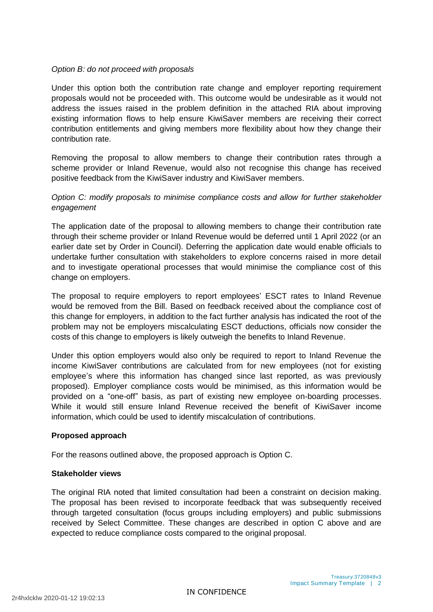#### *Option B: do not proceed with proposals*

Under this option both the contribution rate change and employer reporting requirement proposals would not be proceeded with. This outcome would be undesirable as it would not address the issues raised in the problem definition in the attached RIA about improving existing information flows to help ensure KiwiSaver members are receiving their correct contribution entitlements and giving members more flexibility about how they change their contribution rate.

Removing the proposal to allow members to change their contribution rates through a scheme provider or Inland Revenue, would also not recognise this change has received positive feedback from the KiwiSaver industry and KiwiSaver members.

#### *Option C: modify proposals to minimise compliance costs and allow for further stakeholder engagement*

The application date of the proposal to allowing members to change their contribution rate through their scheme provider or Inland Revenue would be deferred until 1 April 2022 (or an earlier date set by Order in Council). Deferring the application date would enable officials to undertake further consultation with stakeholders to explore concerns raised in more detail and to investigate operational processes that would minimise the compliance cost of this change on employers.

The proposal to require employers to report employees' ESCT rates to Inland Revenue would be removed from the Bill. Based on feedback received about the compliance cost of this change for employers, in addition to the fact further analysis has indicated the root of the problem may not be employers miscalculating ESCT deductions, officials now consider the costs of this change to employers is likely outweigh the benefits to Inland Revenue.

Under this option employers would also only be required to report to Inland Revenue the income KiwiSaver contributions are calculated from for new employees (not for existing employee's where this information has changed since last reported, as was previously proposed). Employer compliance costs would be minimised, as this information would be provided on a "one-off" basis, as part of existing new employee on-boarding processes. While it would still ensure Inland Revenue received the benefit of KiwiSaver income information, which could be used to identify miscalculation of contributions.

#### **Proposed approach**

For the reasons outlined above, the proposed approach is Option C.

#### **Stakeholder views**

The original RIA noted that limited consultation had been a constraint on decision making. The proposal has been revised to incorporate feedback that was subsequently received through targeted consultation (focus groups including employers) and public submissions received by Select Committee. These changes are described in option C above and are expected to reduce compliance costs compared to the original proposal.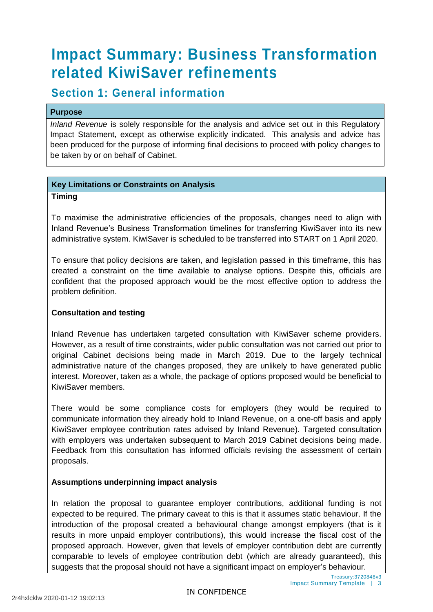# **Impact Summary: Business Transformation related KiwiSaver refinements**

## **Section 1: General information**

#### **Purpose**

*Inland Revenue* is solely responsible for the analysis and advice set out in this Regulatory Impact Statement, except as otherwise explicitly indicated. This analysis and advice has been produced for the purpose of informing final decisions to proceed with policy changes to be taken by or on behalf of Cabinet.

#### **Key Limitations or Constraints on Analysis**

#### **Timing**

To maximise the administrative efficiencies of the proposals, changes need to align with Inland Revenue's Business Transformation timelines for transferring KiwiSaver into its new administrative system. KiwiSaver is scheduled to be transferred into START on 1 April 2020.

To ensure that policy decisions are taken, and legislation passed in this timeframe, this has created a constraint on the time available to analyse options. Despite this, officials are confident that the proposed approach would be the most effective option to address the problem definition.

#### **Consultation and testing**

Inland Revenue has undertaken targeted consultation with KiwiSaver scheme providers. However, as a result of time constraints, wider public consultation was not carried out prior to original Cabinet decisions being made in March 2019. Due to the largely technical administrative nature of the changes proposed, they are unlikely to have generated public interest. Moreover, taken as a whole, the package of options proposed would be beneficial to KiwiSaver members.

There would be some compliance costs for employers (they would be required to communicate information they already hold to Inland Revenue, on a one-off basis and apply KiwiSaver employee contribution rates advised by Inland Revenue). Targeted consultation with employers was undertaken subsequent to March 2019 Cabinet decisions being made. Feedback from this consultation has informed officials revising the assessment of certain proposals.

#### **Assumptions underpinning impact analysis**

In relation the proposal to guarantee employer contributions, additional funding is not expected to be required. The primary caveat to this is that it assumes static behaviour. If the introduction of the proposal created a behavioural change amongst employers (that is it results in more unpaid employer contributions), this would increase the fiscal cost of the proposed approach. However, given that levels of employer contribution debt are currently comparable to levels of employee contribution debt (which are already guaranteed), this suggests that the proposal should not have a significant impact on employer's behaviour.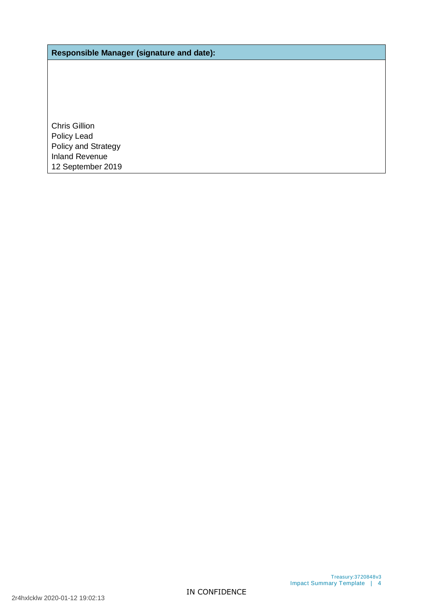**Responsible Manager (signature and date):**

Chris Gillion Policy Lead Policy and Strategy Inland Revenue 12 September 2019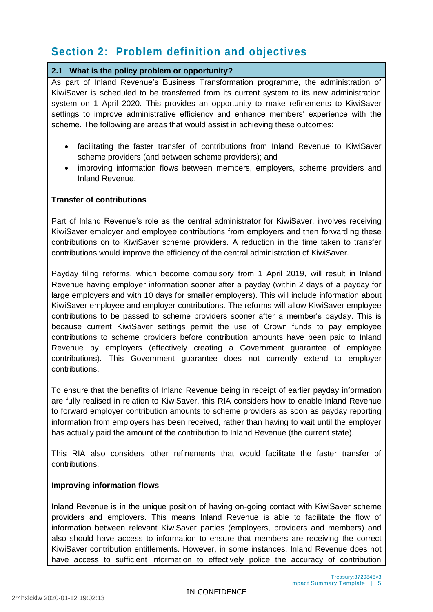# **Section 2: Problem definition and objectives**

#### **2.1 What is the policy problem or opportunity?**

As part of Inland Revenue's Business Transformation programme, the administration of KiwiSaver is scheduled to be transferred from its current system to its new administration system on 1 April 2020. This provides an opportunity to make refinements to KiwiSaver settings to improve administrative efficiency and enhance members' experience with the scheme. The following are areas that would assist in achieving these outcomes:

- facilitating the faster transfer of contributions from Inland Revenue to KiwiSaver scheme providers (and between scheme providers); and
- improving information flows between members, employers, scheme providers and Inland Revenue.

#### **Transfer of contributions**

Part of Inland Revenue's role as the central administrator for KiwiSaver, involves receiving KiwiSaver employer and employee contributions from employers and then forwarding these contributions on to KiwiSaver scheme providers. A reduction in the time taken to transfer contributions would improve the efficiency of the central administration of KiwiSaver.

Payday filing reforms, which become compulsory from 1 April 2019, will result in Inland Revenue having employer information sooner after a payday (within 2 days of a payday for large employers and with 10 days for smaller employers). This will include information about KiwiSaver employee and employer contributions. The reforms will allow KiwiSaver employee contributions to be passed to scheme providers sooner after a member's payday. This is because current KiwiSaver settings permit the use of Crown funds to pay employee contributions to scheme providers before contribution amounts have been paid to Inland Revenue by employers (effectively creating a Government guarantee of employee contributions). This Government guarantee does not currently extend to employer contributions.

To ensure that the benefits of Inland Revenue being in receipt of earlier payday information are fully realised in relation to KiwiSaver, this RIA considers how to enable Inland Revenue to forward employer contribution amounts to scheme providers as soon as payday reporting information from employers has been received, rather than having to wait until the employer has actually paid the amount of the contribution to Inland Revenue (the current state).

This RIA also considers other refinements that would facilitate the faster transfer of contributions.

#### **Improving information flows**

Inland Revenue is in the unique position of having on-going contact with KiwiSaver scheme providers and employers. This means Inland Revenue is able to facilitate the flow of information between relevant KiwiSaver parties (employers, providers and members) and also should have access to information to ensure that members are receiving the correct KiwiSaver contribution entitlements. However, in some instances, Inland Revenue does not have access to sufficient information to effectively police the accuracy of contribution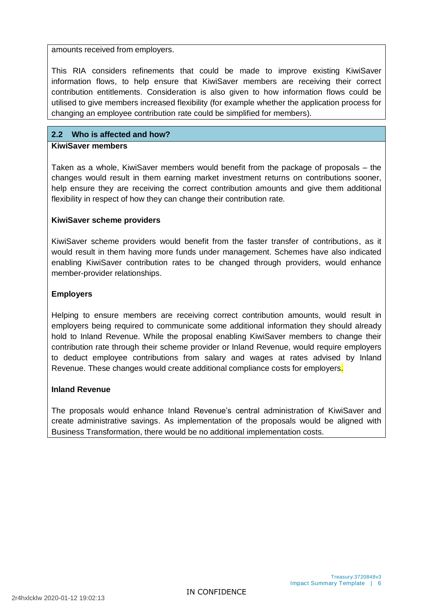amounts received from employers.

This RIA considers refinements that could be made to improve existing KiwiSaver information flows, to help ensure that KiwiSaver members are receiving their correct contribution entitlements. Consideration is also given to how information flows could be utilised to give members increased flexibility (for example whether the application process for changing an employee contribution rate could be simplified for members).

#### **2.2 Who is affected and how?**

#### **KiwiSaver members**

Taken as a whole, KiwiSaver members would benefit from the package of proposals – the changes would result in them earning market investment returns on contributions sooner, help ensure they are receiving the correct contribution amounts and give them additional flexibility in respect of how they can change their contribution rate.

#### **KiwiSaver scheme providers**

KiwiSaver scheme providers would benefit from the faster transfer of contributions, as it would result in them having more funds under management. Schemes have also indicated enabling KiwiSaver contribution rates to be changed through providers, would enhance member-provider relationships.

#### **Employers**

Helping to ensure members are receiving correct contribution amounts, would result in employers being required to communicate some additional information they should already hold to Inland Revenue. While the proposal enabling KiwiSaver members to change their contribution rate through their scheme provider or Inland Revenue, would require employers to deduct employee contributions from salary and wages at rates advised by Inland Revenue. These changes would create additional compliance costs for employers.

#### **Inland Revenue**

The proposals would enhance Inland Revenue's central administration of KiwiSaver and create administrative savings. As implementation of the proposals would be aligned with Business Transformation, there would be no additional implementation costs.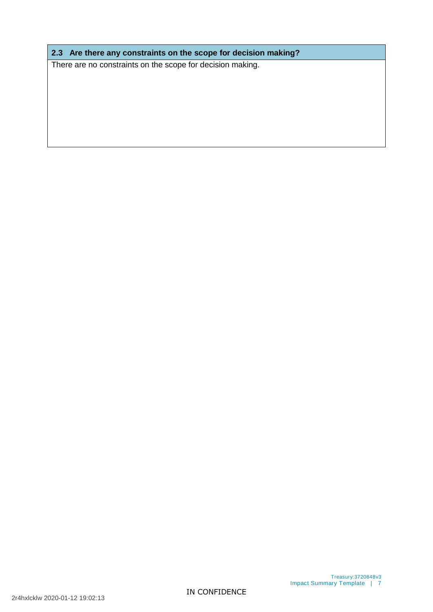**2.3 Are there any constraints on the scope for decision making?** 

There are no constraints on the scope for decision making.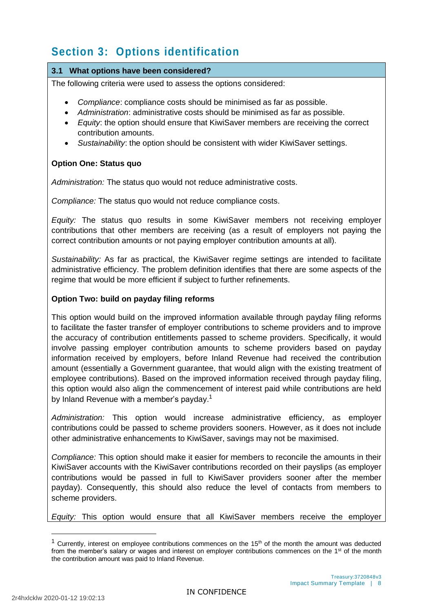# **Section 3: Options identification**

#### **3.1 What options have been considered?**

The following criteria were used to assess the options considered:

- *Compliance*: compliance costs should be minimised as far as possible.
- *Administration*: administrative costs should be minimised as far as possible.
- *Equity*: the option should ensure that KiwiSaver members are receiving the correct contribution amounts.
- *Sustainability*: the option should be consistent with wider KiwiSaver settings.

#### **Option One: Status quo**

*Administration:* The status quo would not reduce administrative costs.

*Compliance:* The status quo would not reduce compliance costs.

*Equity:* The status quo results in some KiwiSaver members not receiving employer contributions that other members are receiving (as a result of employers not paying the correct contribution amounts or not paying employer contribution amounts at all).

*Sustainability:* As far as practical, the KiwiSaver regime settings are intended to facilitate administrative efficiency. The problem definition identifies that there are some aspects of the regime that would be more efficient if subject to further refinements.

#### **Option Two: build on payday filing reforms**

This option would build on the improved information available through payday filing reforms to facilitate the faster transfer of employer contributions to scheme providers and to improve the accuracy of contribution entitlements passed to scheme providers. Specifically, it would involve passing employer contribution amounts to scheme providers based on payday information received by employers, before Inland Revenue had received the contribution amount (essentially a Government guarantee, that would align with the existing treatment of employee contributions). Based on the improved information received through payday filing, this option would also align the commencement of interest paid while contributions are held by Inland Revenue with a member's payday.<sup>1</sup>

*Administration:* This option would increase administrative efficiency, as employer contributions could be passed to scheme providers sooners. However, as it does not include other administrative enhancements to KiwiSaver, savings may not be maximised.

*Compliance:* This option should make it easier for members to reconcile the amounts in their KiwiSaver accounts with the KiwiSaver contributions recorded on their payslips (as employer contributions would be passed in full to KiwiSaver providers sooner after the member payday). Consequently, this should also reduce the level of contacts from members to scheme providers.

*Equity:* This option would ensure that all KiwiSaver members receive the employer

-

<sup>&</sup>lt;sup>1</sup> Currently, interest on employee contributions commences on the  $15<sup>th</sup>$  of the month the amount was deducted from the member's salary or wages and interest on employer contributions commences on the 1<sup>st</sup> of the month the contribution amount was paid to Inland Revenue.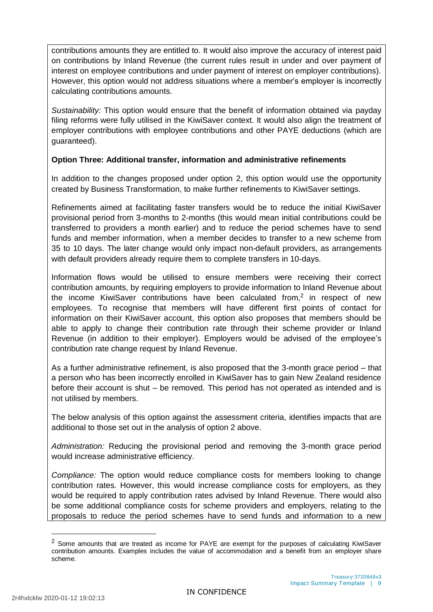contributions amounts they are entitled to. It would also improve the accuracy of interest paid on contributions by Inland Revenue (the current rules result in under and over payment of interest on employee contributions and under payment of interest on employer contributions). However, this option would not address situations where a member's employer is incorrectly calculating contributions amounts.

*Sustainability:* This option would ensure that the benefit of information obtained via payday filing reforms were fully utilised in the KiwiSaver context. It would also align the treatment of employer contributions with employee contributions and other PAYE deductions (which are guaranteed).

#### **Option Three: Additional transfer, information and administrative refinements**

In addition to the changes proposed under option 2, this option would use the opportunity created by Business Transformation, to make further refinements to KiwiSaver settings.

Refinements aimed at facilitating faster transfers would be to reduce the initial KiwiSaver provisional period from 3-months to 2-months (this would mean initial contributions could be transferred to providers a month earlier) and to reduce the period schemes have to send funds and member information, when a member decides to transfer to a new scheme from 35 to 10 days. The later change would only impact non-default providers, as arrangements with default providers already require them to complete transfers in 10-days.

Information flows would be utilised to ensure members were receiving their correct contribution amounts, by requiring employers to provide information to Inland Revenue about the income KiwiSaver contributions have been calculated from,<sup>2</sup> in respect of new employees. To recognise that members will have different first points of contact for information on their KiwiSaver account, this option also proposes that members should be able to apply to change their contribution rate through their scheme provider or Inland Revenue (in addition to their employer). Employers would be advised of the employee's contribution rate change request by Inland Revenue.

As a further administrative refinement, is also proposed that the 3-month grace period – that a person who has been incorrectly enrolled in KiwiSaver has to gain New Zealand residence before their account is shut – be removed. This period has not operated as intended and is not utilised by members.

The below analysis of this option against the assessment criteria, identifies impacts that are additional to those set out in the analysis of option 2 above.

*Administration:* Reducing the provisional period and removing the 3-month grace period would increase administrative efficiency.

*Compliance:* The option would reduce compliance costs for members looking to change contribution rates. However, this would increase compliance costs for employers, as they would be required to apply contribution rates advised by Inland Revenue. There would also be some additional compliance costs for scheme providers and employers, relating to the proposals to reduce the period schemes have to send funds and information to a new

-

 $<sup>2</sup>$  Some amounts that are treated as income for PAYE are exempt for the purposes of calculating KiwiSaver</sup> contribution amounts. Examples includes the value of accommodation and a benefit from an employer share scheme.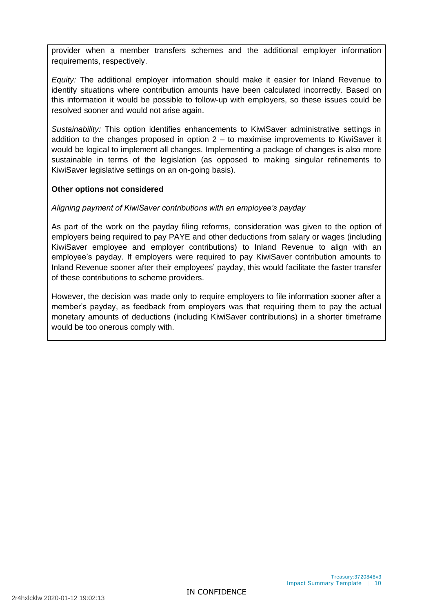provider when a member transfers schemes and the additional employer information requirements, respectively.

*Equity:* The additional employer information should make it easier for Inland Revenue to identify situations where contribution amounts have been calculated incorrectly. Based on this information it would be possible to follow-up with employers, so these issues could be resolved sooner and would not arise again.

*Sustainability:* This option identifies enhancements to KiwiSaver administrative settings in addition to the changes proposed in option  $2 -$  to maximise improvements to KiwiSaver it would be logical to implement all changes. Implementing a package of changes is also more sustainable in terms of the legislation (as opposed to making singular refinements to KiwiSaver legislative settings on an on-going basis).

#### **Other options not considered**

#### *Aligning payment of KiwiSaver contributions with an employee's payday*

As part of the work on the payday filing reforms, consideration was given to the option of employers being required to pay PAYE and other deductions from salary or wages (including KiwiSaver employee and employer contributions) to Inland Revenue to align with an employee's payday. If employers were required to pay KiwiSaver contribution amounts to Inland Revenue sooner after their employees' payday, this would facilitate the faster transfer of these contributions to scheme providers.

However, the decision was made only to require employers to file information sooner after a member's payday, as feedback from employers was that requiring them to pay the actual monetary amounts of deductions (including KiwiSaver contributions) in a shorter timeframe would be too onerous comply with.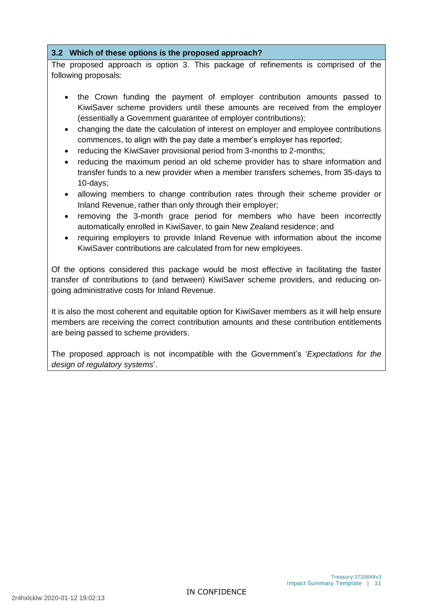#### **3.2 Which of these options is the proposed approach?**

The proposed approach is option 3. This package of refinements is comprised of the following proposals:

- the Crown funding the payment of employer contribution amounts passed to KiwiSaver scheme providers until these amounts are received from the employer (essentially a Government guarantee of employer contributions);
- changing the date the calculation of interest on employer and employee contributions commences, to align with the pay date a member's employer has reported;
- reducing the KiwiSaver provisional period from 3-months to 2-months;
- reducing the maximum period an old scheme provider has to share information and transfer funds to a new provider when a member transfers schemes, from 35-days to 10-days;
- allowing members to change contribution rates through their scheme provider or Inland Revenue, rather than only through their employer;
- removing the 3-month grace period for members who have been incorrectly automatically enrolled in KiwiSaver, to gain New Zealand residence; and
- requiring employers to provide Inland Revenue with information about the income KiwiSaver contributions are calculated from for new employees.

Of the options considered this package would be most effective in facilitating the faster transfer of contributions to (and between) KiwiSaver scheme providers, and reducing ongoing administrative costs for Inland Revenue.

It is also the most coherent and equitable option for KiwiSaver members as it will help ensure members are receiving the correct contribution amounts and these contribution entitlements are being passed to scheme providers.

The proposed approach is not incompatible with the Government's '*Expectations for the design of regulatory systems*'.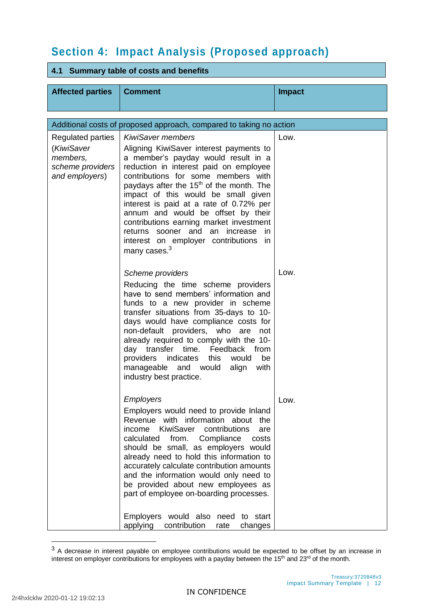# **Section 4: Impact Analysis (Proposed approach)**

#### **4.1 Summary table of costs and benefits**

| <b>Affected parties</b>                                                                  | <b>Comment</b>                                                                                                                                                                                                                                                                                                                                                                                                                                                                                                                                             | <b>Impact</b> |  |  |  |
|------------------------------------------------------------------------------------------|------------------------------------------------------------------------------------------------------------------------------------------------------------------------------------------------------------------------------------------------------------------------------------------------------------------------------------------------------------------------------------------------------------------------------------------------------------------------------------------------------------------------------------------------------------|---------------|--|--|--|
| Additional costs of proposed approach, compared to taking no action                      |                                                                                                                                                                                                                                                                                                                                                                                                                                                                                                                                                            |               |  |  |  |
| <b>Regulated parties</b><br>(KiwiSaver<br>members.<br>scheme providers<br>and employers) | <b>KiwiSaver members</b><br>Aligning KiwiSaver interest payments to<br>a member's payday would result in a<br>reduction in interest paid on employee<br>contributions for some members with<br>paydays after the 15 <sup>th</sup> of the month. The<br>impact of this would be small given<br>interest is paid at a rate of 0.72% per<br>annum and would be offset by their<br>contributions earning market investment<br>returns sooner and an increase<br>in.<br>interest on employer contributions<br>- in<br>many cases. <sup>3</sup>                  | Low.          |  |  |  |
|                                                                                          | Scheme providers<br>Reducing the time scheme providers<br>have to send members' information and<br>funds to a new provider in scheme<br>transfer situations from 35-days to 10-<br>days would have compliance costs for<br>non-default providers, who are<br>not<br>already required to comply with the 10-<br>day transfer time. Feedback from<br>providers<br>indicates<br>this would<br>be<br>manageable and would<br>align<br>with<br>industry best practice.                                                                                          | Low.          |  |  |  |
|                                                                                          | <b>Employers</b><br>Employers would need to provide Inland<br>Revenue with information about<br>the<br>KiwiSaver<br>contributions<br>income<br>are<br>calculated<br>from.<br>Compliance<br>costs<br>should be small, as employers would<br>already need to hold this information to<br>accurately calculate contribution amounts<br>and the information would only need to<br>be provided about new employees as<br>part of employee on-boarding processes.<br><b>Employers</b><br>would also need to start<br>applying<br>contribution<br>rate<br>changes | Low.          |  |  |  |

 $3$  A decrease in interest payable on employee contributions would be expected to be offset by an increase in interest on employer contributions for employees with a payday between the 15<sup>th</sup> and 23<sup>rd</sup> of the month.

1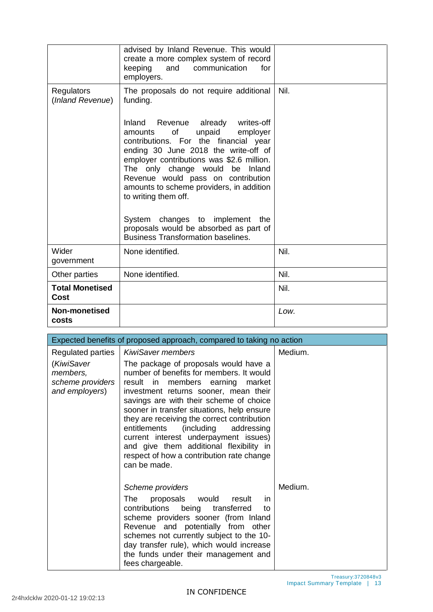|                                | advised by Inland Revenue. This would<br>create a more complex system of record<br>and<br>communication<br>keeping<br>for<br>employers.                                                                                                                                                                                                                                                                                                                                             |      |
|--------------------------------|-------------------------------------------------------------------------------------------------------------------------------------------------------------------------------------------------------------------------------------------------------------------------------------------------------------------------------------------------------------------------------------------------------------------------------------------------------------------------------------|------|
| Regulators<br>(Inland Revenue) | The proposals do not require additional<br>funding.                                                                                                                                                                                                                                                                                                                                                                                                                                 | Nil. |
|                                | Inland Revenue already<br>writes-off<br>0f<br>unpaid<br>employer<br>amounts<br>contributions. For the financial year<br>ending 30 June 2018 the write-off of<br>employer contributions was \$2.6 million.<br>The only change would<br>be Inland<br>Revenue would pass on contribution<br>amounts to scheme providers, in addition<br>to writing them off.<br>System changes to implement the<br>proposals would be absorbed as part of<br><b>Business Transformation baselines.</b> |      |
| Wider<br>government            | None identified.                                                                                                                                                                                                                                                                                                                                                                                                                                                                    | Nil. |
| Other parties                  | None identified.                                                                                                                                                                                                                                                                                                                                                                                                                                                                    | Nil. |
| <b>Total Monetised</b><br>Cost |                                                                                                                                                                                                                                                                                                                                                                                                                                                                                     | Nil. |
| Non-monetised<br>costs         |                                                                                                                                                                                                                                                                                                                                                                                                                                                                                     | Low. |

| Expected benefits of proposed approach, compared to taking no action |                                                                                                                                                                                                                                                                                                                                                                                                                                                                                                        |         |  |  |
|----------------------------------------------------------------------|--------------------------------------------------------------------------------------------------------------------------------------------------------------------------------------------------------------------------------------------------------------------------------------------------------------------------------------------------------------------------------------------------------------------------------------------------------------------------------------------------------|---------|--|--|
| <b>Regulated parties</b>                                             | <b>KiwiSaver members</b>                                                                                                                                                                                                                                                                                                                                                                                                                                                                               | Medium. |  |  |
| (KiwiSaver<br>members,<br>scheme providers<br>and employers)         | The package of proposals would have a<br>number of benefits for members. It would<br>result in members earning<br>market<br>investment returns sooner, mean their<br>savings are with their scheme of choice<br>sooner in transfer situations, help ensure<br>they are receiving the correct contribution<br>entitlements<br>(including<br>addressing<br>current interest underpayment issues)<br>and give them additional flexibility in<br>respect of how a contribution rate change<br>can be made. |         |  |  |
|                                                                      | Scheme providers<br>The<br>proposals would<br>result<br>in.<br>contributions being transferred<br>to<br>scheme providers sooner (from Inland<br>Revenue and potentially from other<br>schemes not currently subject to the 10-<br>day transfer rule), which would increase<br>the funds under their management and<br>fees chargeable.                                                                                                                                                                 | Medium. |  |  |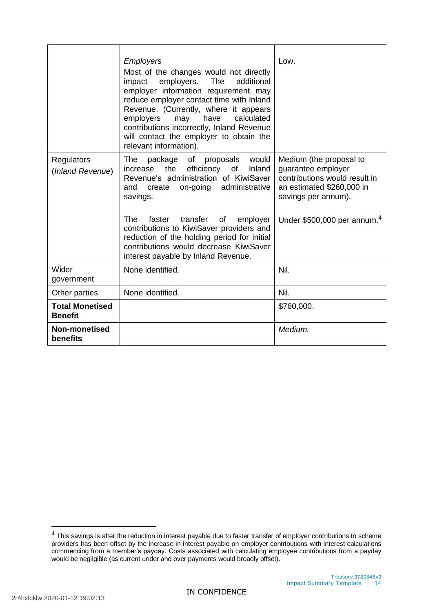|                                          | <b>Employers</b><br>Most of the changes would not directly<br>employers.<br>impact<br><b>The</b><br>additional<br>employer information requirement may<br>reduce employer contact time with Inland<br>Revenue. (Currently, where it appears<br>calculated<br>employers<br>have<br>may<br>contributions incorrectly, Inland Revenue<br>will contact the employer to obtain the<br>relevant information).                  | Low.                                                                                                                                                                           |
|------------------------------------------|--------------------------------------------------------------------------------------------------------------------------------------------------------------------------------------------------------------------------------------------------------------------------------------------------------------------------------------------------------------------------------------------------------------------------|--------------------------------------------------------------------------------------------------------------------------------------------------------------------------------|
| Regulators<br>(Inland Revenue)           | of<br>proposals<br>would<br>The<br>package<br>the<br>efficiency of<br>Inland<br>increase<br>Revenue's administration of KiwiSaver<br>administrative<br>and<br>create<br>on-going<br>savings.<br>The.<br>transfer<br>faster<br>of<br>employer<br>contributions to KiwiSaver providers and<br>reduction of the holding period for initial<br>contributions would decrease KiwiSaver<br>interest payable by Inland Revenue. | Medium (the proposal to<br>guarantee employer<br>contributions would result in<br>an estimated \$260,000 in<br>savings per annum).<br>Under $$500,000$ per annum. <sup>4</sup> |
| Wider<br>government                      | None identified.                                                                                                                                                                                                                                                                                                                                                                                                         | Nil.                                                                                                                                                                           |
| Other parties                            | None identified.                                                                                                                                                                                                                                                                                                                                                                                                         | Nil.                                                                                                                                                                           |
| <b>Total Monetised</b><br><b>Benefit</b> |                                                                                                                                                                                                                                                                                                                                                                                                                          | \$760,000.                                                                                                                                                                     |
| <b>Non-monetised</b><br>benefits         |                                                                                                                                                                                                                                                                                                                                                                                                                          | Medium.                                                                                                                                                                        |

1

<sup>&</sup>lt;sup>4</sup> This savings is after the reduction in interest payable due to faster transfer of employer contributions to scheme providers has been offset by the increase in interest payable on employer contributions with interest calculations commencing from a member's payday. Costs associated with calculating employee contributions from a payday would be negligible (as current under and over payments would broadly offset).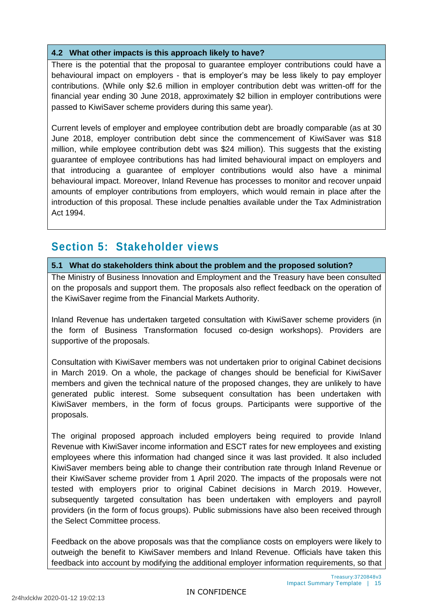#### **4.2 What other impacts is this approach likely to have?**

There is the potential that the proposal to guarantee employer contributions could have a behavioural impact on employers - that is employer's may be less likely to pay employer contributions. (While only \$2.6 million in employer contribution debt was written-off for the financial year ending 30 June 2018, approximately \$2 billion in employer contributions were passed to KiwiSaver scheme providers during this same year).

Current levels of employer and employee contribution debt are broadly comparable (as at 30 June 2018, employer contribution debt since the commencement of KiwiSaver was \$18 million, while employee contribution debt was \$24 million). This suggests that the existing guarantee of employee contributions has had limited behavioural impact on employers and that introducing a guarantee of employer contributions would also have a minimal behavioural impact. Moreover, Inland Revenue has processes to monitor and recover unpaid amounts of employer contributions from employers, which would remain in place after the introduction of this proposal. These include penalties available under the Tax Administration Act 1994.

### **Section 5: Stakeholder views**

**5.1 What do stakeholders think about the problem and the proposed solution?** 

The Ministry of Business Innovation and Employment and the Treasury have been consulted on the proposals and support them. The proposals also reflect feedback on the operation of the KiwiSaver regime from the Financial Markets Authority.

Inland Revenue has undertaken targeted consultation with KiwiSaver scheme providers (in the form of Business Transformation focused co-design workshops). Providers are supportive of the proposals.

Consultation with KiwiSaver members was not undertaken prior to original Cabinet decisions in March 2019. On a whole, the package of changes should be beneficial for KiwiSaver members and given the technical nature of the proposed changes, they are unlikely to have generated public interest. Some subsequent consultation has been undertaken with KiwiSaver members, in the form of focus groups. Participants were supportive of the proposals.

The original proposed approach included employers being required to provide Inland Revenue with KiwiSaver income information and ESCT rates for new employees and existing employees where this information had changed since it was last provided. It also included KiwiSaver members being able to change their contribution rate through Inland Revenue or their KiwiSaver scheme provider from 1 April 2020. The impacts of the proposals were not tested with employers prior to original Cabinet decisions in March 2019. However, subsequently targeted consultation has been undertaken with employers and payroll providers (in the form of focus groups). Public submissions have also been received through the Select Committee process.

Feedback on the above proposals was that the compliance costs on employers were likely to outweigh the benefit to KiwiSaver members and Inland Revenue. Officials have taken this feedback into account by modifying the additional employer information requirements, so that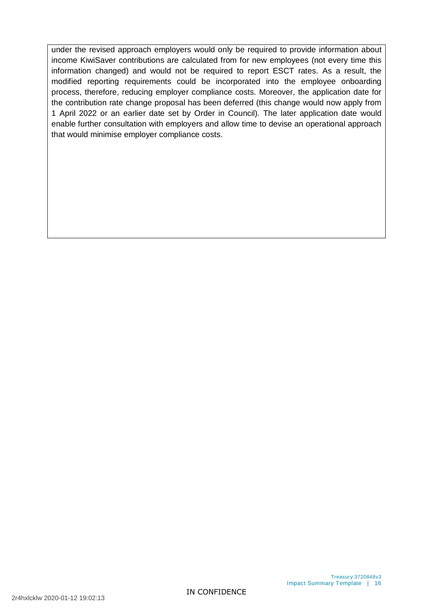under the revised approach employers would only be required to provide information about income KiwiSaver contributions are calculated from for new employees (not every time this information changed) and would not be required to report ESCT rates. As a result, the modified reporting requirements could be incorporated into the employee onboarding process, therefore, reducing employer compliance costs. Moreover, the application date for the contribution rate change proposal has been deferred (this change would now apply from 1 April 2022 or an earlier date set by Order in Council). The later application date would enable further consultation with employers and allow time to devise an operational approach that would minimise employer compliance costs.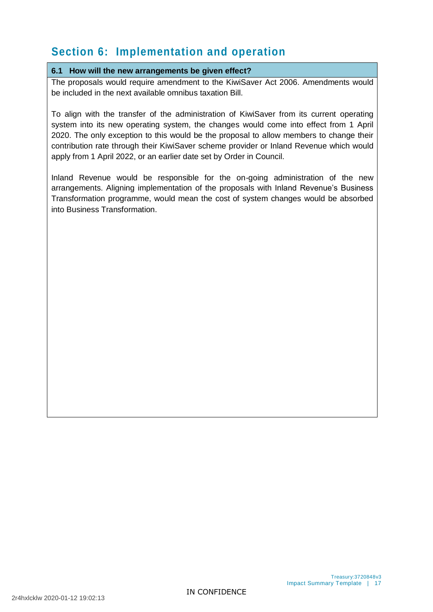## **Section 6: Implementation and operation**

#### **6.1 How will the new arrangements be given effect?**

The proposals would require amendment to the KiwiSaver Act 2006. Amendments would be included in the next available omnibus taxation Bill.

To align with the transfer of the administration of KiwiSaver from its current operating system into its new operating system, the changes would come into effect from 1 April 2020. The only exception to this would be the proposal to allow members to change their contribution rate through their KiwiSaver scheme provider or Inland Revenue which would apply from 1 April 2022, or an earlier date set by Order in Council.

Inland Revenue would be responsible for the on-going administration of the new arrangements. Aligning implementation of the proposals with Inland Revenue's Business Transformation programme, would mean the cost of system changes would be absorbed into Business Transformation.